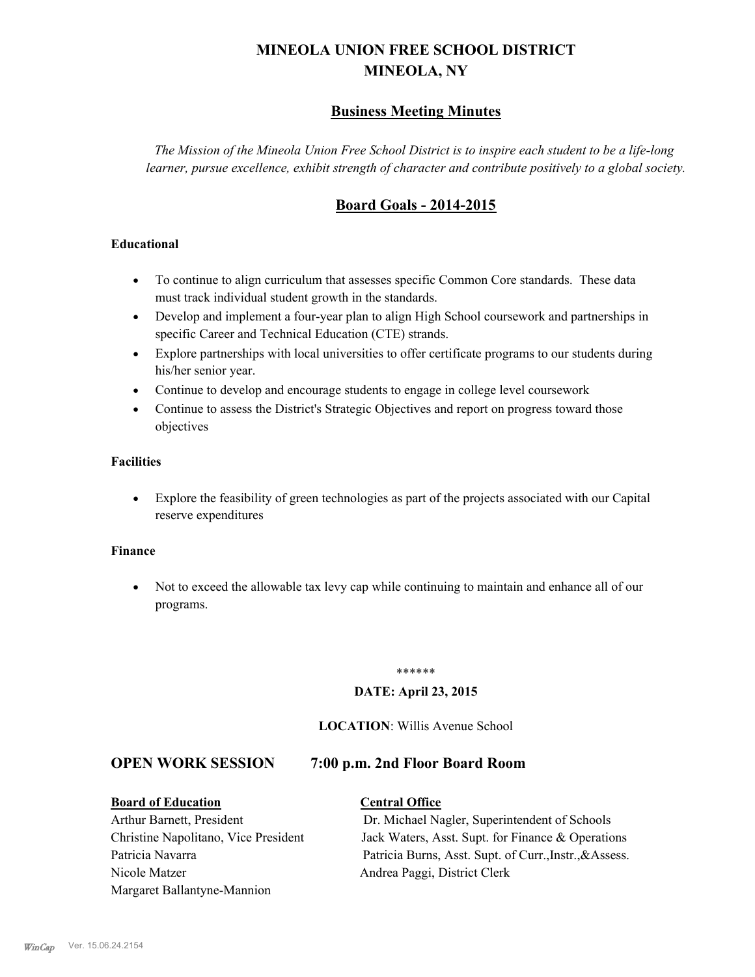# **MINEOLA UNION FREE SCHOOL DISTRICT MINEOLA, NY**

# **Business Meeting Minutes**

*The Mission of the Mineola Union Free School District is to inspire each student to be a life-long learner, pursue excellence, exhibit strength of character and contribute positively to a global society.*

# **Board Goals - 2014-2015**

## **Educational**

- · To continue to align curriculum that assesses specific Common Core standards. These data must track individual student growth in the standards.
- · Develop and implement a four-year plan to align High School coursework and partnerships in specific Career and Technical Education (CTE) strands.
- · Explore partnerships with local universities to offer certificate programs to our students during his/her senior year.
- · Continue to develop and encourage students to engage in college level coursework
- Continue to assess the District's Strategic Objectives and report on progress toward those objectives

## **Facilities**

· Explore the feasibility of green technologies as part of the projects associated with our Capital reserve expenditures

#### **Finance**

· Not to exceed the allowable tax levy cap while continuing to maintain and enhance all of our programs.

#### \*\*\*\*\*\*

#### **DATE: April 23, 2015**

## **LOCATION**: Willis Avenue School

## **OPEN WORK SESSION 7:00 p.m. 2nd Floor Board Room**

**Board of Education Central Office** Nicole Matzer Andrea Paggi, District Clerk Margaret Ballantyne-Mannion

Arthur Barnett, President Dr. Michael Nagler, Superintendent of Schools Christine Napolitano, Vice President Jack Waters, Asst. Supt. for Finance & Operations Patricia Navarra Patricia Burns, Asst. Supt. of Curr., Instr., &Assess.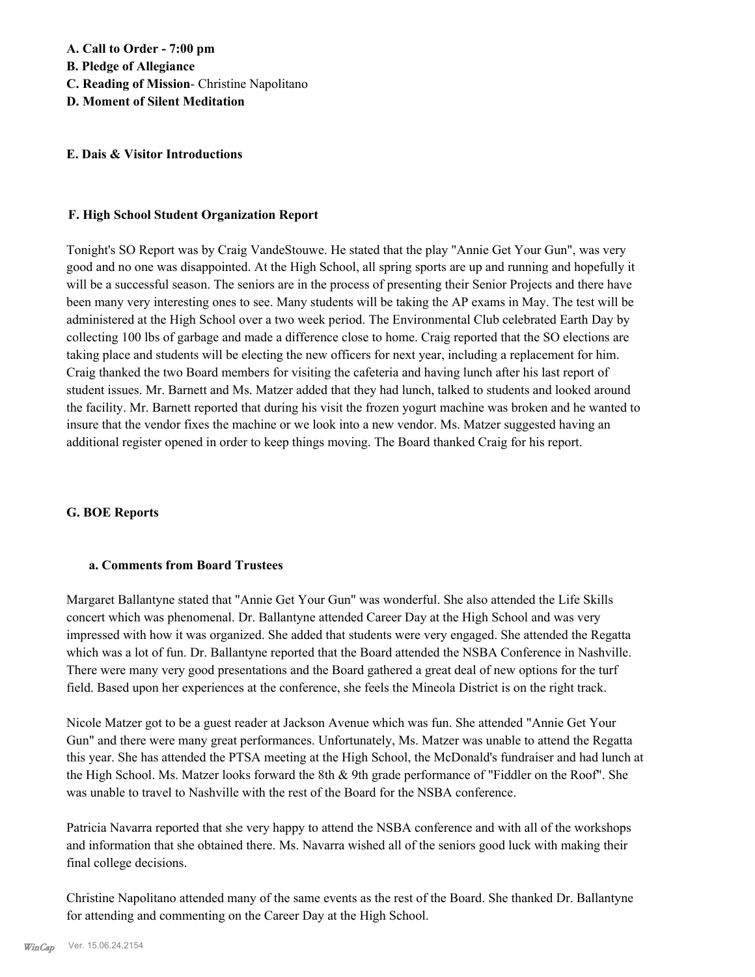### **E. Dais & Visitor Introductions**

### **F. High School Student Organization Report**

Tonight's SO Report was by Craig VandeStouwe. He stated that the play "Annie Get Your Gun", was very good and no one was disappointed. At the High School, all spring sports are up and running and hopefully it will be a successful season. The seniors are in the process of presenting their Senior Projects and there have been many very interesting ones to see. Many students will be taking the AP exams in May. The test will be administered at the High School over a two week period. The Environmental Club celebrated Earth Day by collecting 100 lbs of garbage and made a difference close to home. Craig reported that the SO elections are taking place and students will be electing the new officers for next year, including a replacement for him. Craig thanked the two Board members for visiting the cafeteria and having lunch after his last report of student issues. Mr. Barnett and Ms. Matzer added that they had lunch, talked to students and looked around the facility. Mr. Barnett reported that during his visit the frozen yogurt machine was broken and he wanted to insure that the vendor fixes the machine or we look into a new vendor. Ms. Matzer suggested having an additional register opened in order to keep things moving. The Board thanked Craig for his report.

## **G. BOE Reports**

#### **a. Comments from Board Trustees**

Margaret Ballantyne stated that "Annie Get Your Gun" was wonderful. She also attended the Life Skills concert which was phenomenal. Dr. Ballantyne attended Career Day at the High School and was very impressed with how it was organized. She added that students were very engaged. She attended the Regatta which was a lot of fun. Dr. Ballantyne reported that the Board attended the NSBA Conference in Nashville. There were many very good presentations and the Board gathered a great deal of new options for the turf field. Based upon her experiences at the conference, she feels the Mineola District is on the right track.

Nicole Matzer got to be a guest reader at Jackson Avenue which was fun. She attended "Annie Get Your Gun" and there were many great performances. Unfortunately, Ms. Matzer was unable to attend the Regatta this year. She has attended the PTSA meeting at the High School, the McDonald's fundraiser and had lunch at the High School. Ms. Matzer looks forward the 8th & 9th grade performance of "Fiddler on the Roof". She was unable to travel to Nashville with the rest of the Board for the NSBA conference.

Patricia Navarra reported that she very happy to attend the NSBA conference and with all of the workshops and information that she obtained there. Ms. Navarra wished all of the seniors good luck with making their final college decisions.

Christine Napolitano attended many of the same events as the rest of the Board. She thanked Dr. Ballantyne for attending and commenting on the Career Day at the High School.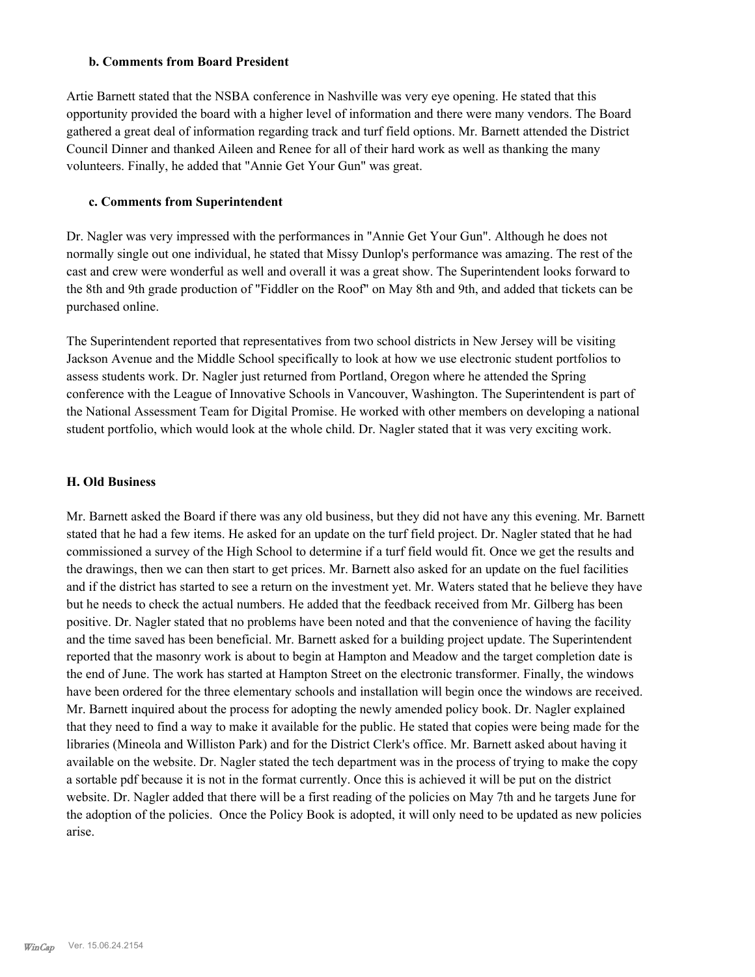#### **b. Comments from Board President**

Artie Barnett stated that the NSBA conference in Nashville was very eye opening. He stated that this opportunity provided the board with a higher level of information and there were many vendors. The Board gathered a great deal of information regarding track and turf field options. Mr. Barnett attended the District Council Dinner and thanked Aileen and Renee for all of their hard work as well as thanking the many volunteers. Finally, he added that "Annie Get Your Gun" was great.

## **c. Comments from Superintendent**

Dr. Nagler was very impressed with the performances in "Annie Get Your Gun". Although he does not normally single out one individual, he stated that Missy Dunlop's performance was amazing. The rest of the cast and crew were wonderful as well and overall it was a great show. The Superintendent looks forward to the 8th and 9th grade production of "Fiddler on the Roof" on May 8th and 9th, and added that tickets can be purchased online.

The Superintendent reported that representatives from two school districts in New Jersey will be visiting Jackson Avenue and the Middle School specifically to look at how we use electronic student portfolios to assess students work. Dr. Nagler just returned from Portland, Oregon where he attended the Spring conference with the League of Innovative Schools in Vancouver, Washington. The Superintendent is part of the National Assessment Team for Digital Promise. He worked with other members on developing a national student portfolio, which would look at the whole child. Dr. Nagler stated that it was very exciting work.

## **H. Old Business**

Mr. Barnett asked the Board if there was any old business, but they did not have any this evening. Mr. Barnett stated that he had a few items. He asked for an update on the turf field project. Dr. Nagler stated that he had commissioned a survey of the High School to determine if a turf field would fit. Once we get the results and the drawings, then we can then start to get prices. Mr. Barnett also asked for an update on the fuel facilities and if the district has started to see a return on the investment yet. Mr. Waters stated that he believe they have but he needs to check the actual numbers. He added that the feedback received from Mr. Gilberg has been positive. Dr. Nagler stated that no problems have been noted and that the convenience of having the facility and the time saved has been beneficial. Mr. Barnett asked for a building project update. The Superintendent reported that the masonry work is about to begin at Hampton and Meadow and the target completion date is the end of June. The work has started at Hampton Street on the electronic transformer. Finally, the windows have been ordered for the three elementary schools and installation will begin once the windows are received. Mr. Barnett inquired about the process for adopting the newly amended policy book. Dr. Nagler explained that they need to find a way to make it available for the public. He stated that copies were being made for the libraries (Mineola and Williston Park) and for the District Clerk's office. Mr. Barnett asked about having it available on the website. Dr. Nagler stated the tech department was in the process of trying to make the copy a sortable pdf because it is not in the format currently. Once this is achieved it will be put on the district website. Dr. Nagler added that there will be a first reading of the policies on May 7th and he targets June for the adoption of the policies. Once the Policy Book is adopted, it will only need to be updated as new policies arise.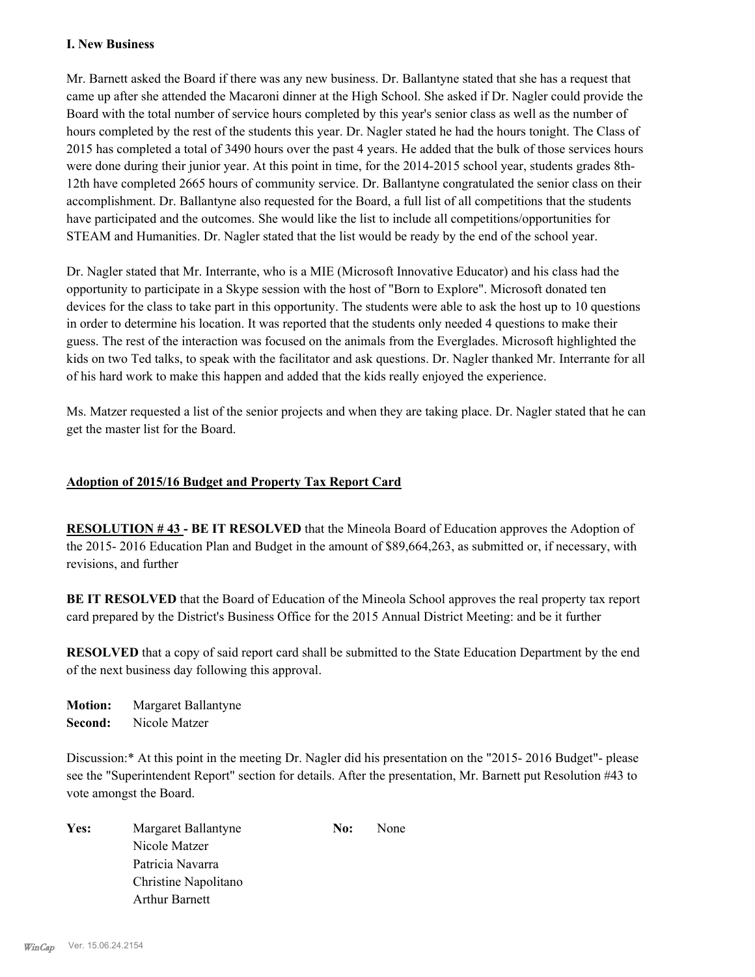## **I. New Business**

Mr. Barnett asked the Board if there was any new business. Dr. Ballantyne stated that she has a request that came up after she attended the Macaroni dinner at the High School. She asked if Dr. Nagler could provide the Board with the total number of service hours completed by this year's senior class as well as the number of hours completed by the rest of the students this year. Dr. Nagler stated he had the hours tonight. The Class of 2015 has completed a total of 3490 hours over the past 4 years. He added that the bulk of those services hours were done during their junior year. At this point in time, for the 2014-2015 school year, students grades 8th-12th have completed 2665 hours of community service. Dr. Ballantyne congratulated the senior class on their accomplishment. Dr. Ballantyne also requested for the Board, a full list of all competitions that the students have participated and the outcomes. She would like the list to include all competitions/opportunities for STEAM and Humanities. Dr. Nagler stated that the list would be ready by the end of the school year.

Dr. Nagler stated that Mr. Interrante, who is a MIE (Microsoft Innovative Educator) and his class had the opportunity to participate in a Skype session with the host of "Born to Explore". Microsoft donated ten devices for the class to take part in this opportunity. The students were able to ask the host up to 10 questions in order to determine his location. It was reported that the students only needed 4 questions to make their guess. The rest of the interaction was focused on the animals from the Everglades. Microsoft highlighted the kids on two Ted talks, to speak with the facilitator and ask questions. Dr. Nagler thanked Mr. Interrante for all of his hard work to make this happen and added that the kids really enjoyed the experience.

Ms. Matzer requested a list of the senior projects and when they are taking place. Dr. Nagler stated that he can get the master list for the Board.

## **Adoption of 2015/16 Budget and Property Tax Report Card**

**RESOLUTION # 43 - BE IT RESOLVED** that the Mineola Board of Education approves the Adoption of the 2015- 2016 Education Plan and Budget in the amount of \$89,664,263, as submitted or, if necessary, with revisions, and further

**BE IT RESOLVED** that the Board of Education of the Mineola School approves the real property tax report card prepared by the District's Business Office for the 2015 Annual District Meeting: and be it further

**RESOLVED** that a copy of said report card shall be submitted to the State Education Department by the end of the next business day following this approval.

**Motion:** Margaret Ballantyne **Second:** Nicole Matzer

Discussion:\* At this point in the meeting Dr. Nagler did his presentation on the "2015- 2016 Budget"- please see the "Superintendent Report" section for details. After the presentation, Mr. Barnett put Resolution #43 to vote amongst the Board.

Yes: Margaret Ballantyne **No:** None Nicole Matzer Patricia Navarra Christine Napolitano Arthur Barnett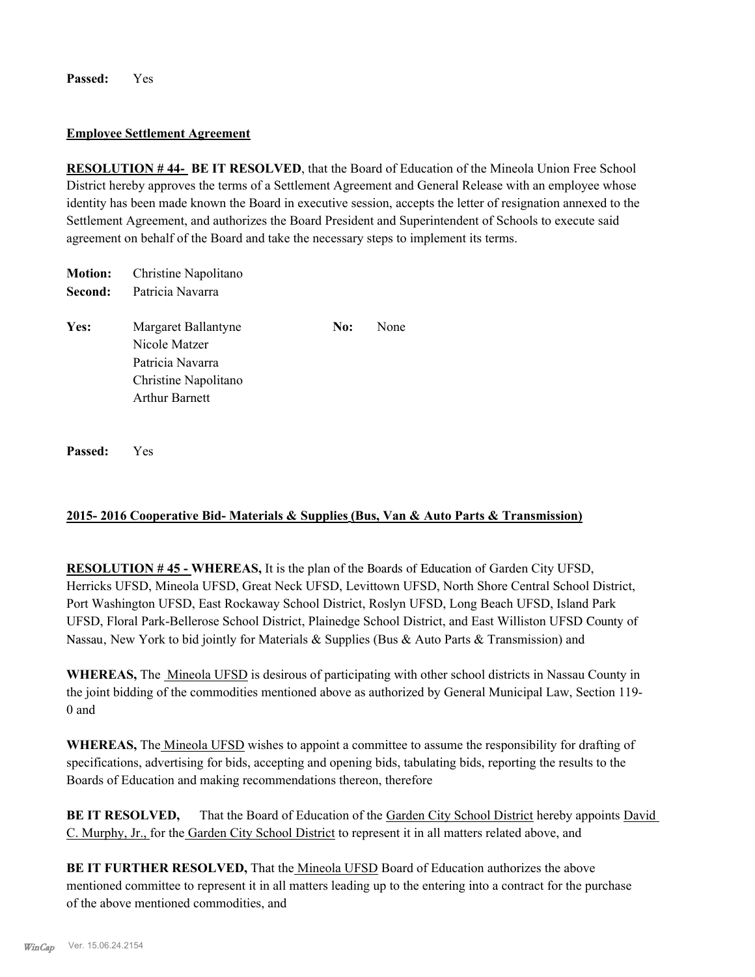**Passed:** Yes

#### **Employee Settlement Agreement**

**RESOLUTION # 44- BE IT RESOLVED**, that the Board of Education of the Mineola Union Free School District hereby approves the terms of a Settlement Agreement and General Release with an employee whose identity has been made known the Board in executive session, accepts the letter of resignation annexed to the Settlement Agreement, and authorizes the Board President and Superintendent of Schools to execute said agreement on behalf of the Board and take the necessary steps to implement its terms.

| <b>Motion:</b> | Christine Napolitano                                                                                      |     |      |
|----------------|-----------------------------------------------------------------------------------------------------------|-----|------|
| Second:        | Patricia Navarra                                                                                          |     |      |
| Yes:           | Margaret Ballantyne<br>Nicole Matzer<br>Patricia Navarra<br>Christine Napolitano<br><b>Arthur Barnett</b> | No: | None |
|                |                                                                                                           |     |      |

**Passed:** Yes

## **2015- 2016 Cooperative Bid- Materials & Supplies (Bus, Van & Auto Parts & Transmission)**

**RESOLUTION # 45 - WHEREAS,** It is the plan of the Boards of Education of Garden City UFSD, Herricks UFSD, Mineola UFSD, Great Neck UFSD, Levittown UFSD, North Shore Central School District, Port Washington UFSD, East Rockaway School District, Roslyn UFSD, Long Beach UFSD, Island Park UFSD, Floral Park-Bellerose School District, Plainedge School District, and East Williston UFSD County of Nassau, New York to bid jointly for Materials & Supplies (Bus & Auto Parts & Transmission) and

**WHEREAS,** The Mineola UFSD is desirous of participating with other school districts in Nassau County in the joint bidding of the commodities mentioned above as authorized by General Municipal Law, Section 119- 0 and

**WHEREAS,** The Mineola UFSD wishes to appoint a committee to assume the responsibility for drafting of specifications, advertising for bids, accepting and opening bids, tabulating bids, reporting the results to the Boards of Education and making recommendations thereon, therefore

**BE IT RESOLVED,** That the Board of Education of the Garden City School District hereby appoints David C. Murphy, Jr., for the Garden City School District to represent it in all matters related above, and

**BE IT FURTHER RESOLVED,** That the *Mineola UFSD* Board of Education authorizes the above mentioned committee to represent it in all matters leading up to the entering into a contract for the purchase of the above mentioned commodities, and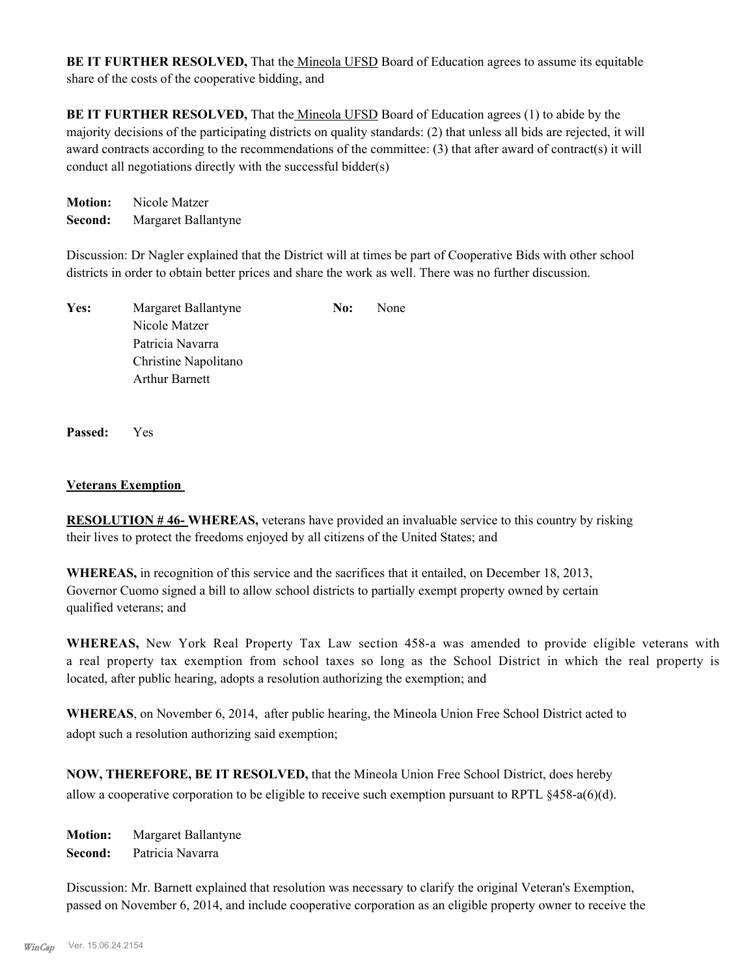**BE IT FURTHER RESOLVED,** That the Mineola UFSD Board of Education agrees to assume its equitable share of the costs of the cooperative bidding, and

**BE IT FURTHER RESOLVED,** That the Mineola UFSD Board of Education agrees (1) to abide by the majority decisions of the participating districts on quality standards: (2) that unless all bids are rejected, it will award contracts according to the recommendations of the committee: (3) that after award of contract(s) it will conduct all negotiations directly with the successful bidder(s)

**Motion:** Nicole Matzer **Second:** Margaret Ballantyne

Discussion: Dr Nagler explained that the District will at times be part of Cooperative Bids with other school districts in order to obtain better prices and share the work as well. There was no further discussion.

| Yes: | Margaret Ballantyne   | No: | None |
|------|-----------------------|-----|------|
|      | Nicole Matzer         |     |      |
|      | Patricia Navarra      |     |      |
|      | Christine Napolitano  |     |      |
|      | <b>Arthur Barnett</b> |     |      |

**Passed:** Yes

## **Veterans Exemption**

**RESOLUTION # 46- WHEREAS,** veterans have provided an invaluable service to this country by risking their lives to protect the freedoms enjoyed by all citizens of the United States; and

**WHEREAS,** in recognition of this service and the sacrifices that it entailed, on December 18, 2013, Governor Cuomo signed a bill to allow school districts to partially exempt property owned by certain qualified veterans; and

**WHEREAS,** New York Real Property Tax Law section 458-a was amended to provide eligible veterans with a real property tax exemption from school taxes so long as the School District in which the real property is located, after public hearing, adopts a resolution authorizing the exemption; and

**WHEREAS**, on November 6, 2014, after public hearing, the Mineola Union Free School District acted to adopt such a resolution authorizing said exemption;

**NOW, THEREFORE, BE IT RESOLVED,** that the Mineola Union Free School District, does hereby allow a cooperative corporation to be eligible to receive such exemption pursuant to RPTL §458-a(6)(d).

**Motion:** Margaret Ballantyne **Second:** Patricia Navarra

Discussion: Mr. Barnett explained that resolution was necessary to clarify the original Veteran's Exemption, passed on November 6, 2014, and include cooperative corporation as an eligible property owner to receive the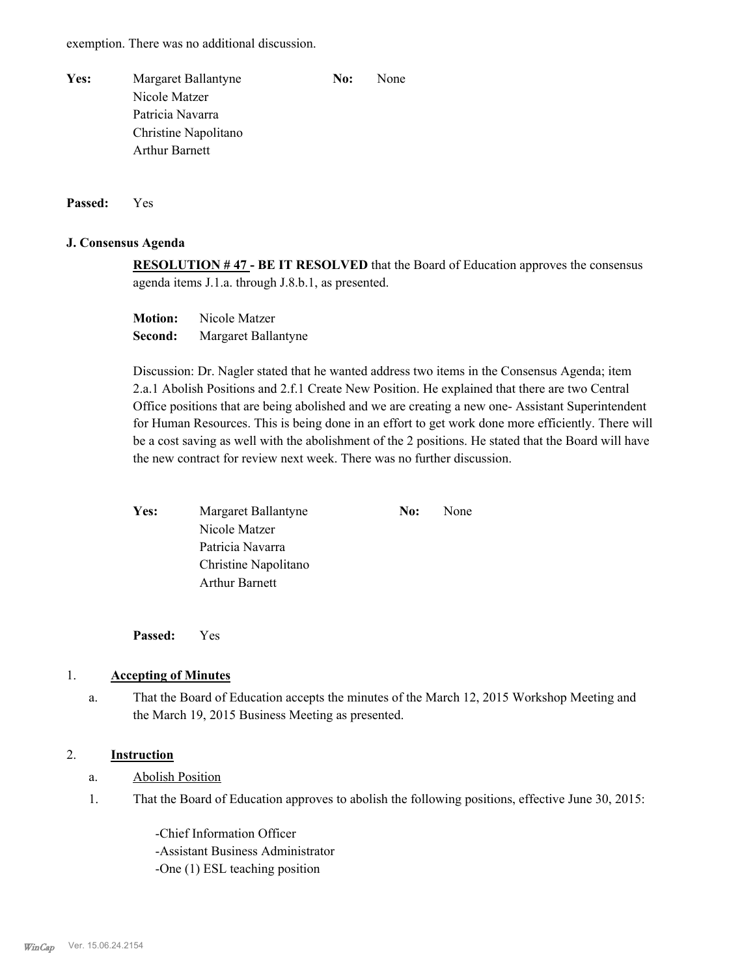exemption. There was no additional discussion.

| Yes: | Margaret Ballantyne   | No: | None |
|------|-----------------------|-----|------|
|      | Nicole Matzer         |     |      |
|      | Patricia Navarra      |     |      |
|      | Christine Napolitano  |     |      |
|      | <b>Arthur Barnett</b> |     |      |
|      |                       |     |      |

**Passed:** Yes

#### **J. Consensus Agenda**

**RESOLUTION # 47 - BE IT RESOLVED** that the Board of Education approves the consensus agenda items J.1.a. through J.8.b.1, as presented.

**Motion:** Nicole Matzer **Second:** Margaret Ballantyne

Discussion: Dr. Nagler stated that he wanted address two items in the Consensus Agenda; item 2.a.1 Abolish Positions and 2.f.1 Create New Position. He explained that there are two Central Office positions that are being abolished and we are creating a new one- Assistant Superintendent for Human Resources. This is being done in an effort to get work done more efficiently. There will be a cost saving as well with the abolishment of the 2 positions. He stated that the Board will have the new contract for review next week. There was no further discussion.

| Yes: | Margaret Ballantyne   | No: | None |
|------|-----------------------|-----|------|
|      | Nicole Matzer         |     |      |
|      | Patricia Navarra      |     |      |
|      | Christine Napolitano  |     |      |
|      | <b>Arthur Barnett</b> |     |      |
|      |                       |     |      |

**Passed:** Yes

#### 1. **Accepting of Minutes**

That the Board of Education accepts the minutes of the March 12, 2015 Workshop Meeting and the March 19, 2015 Business Meeting as presented. a.

## 2. **Instruction**

- a. Abolish Position
- That the Board of Education approves to abolish the following positions, effective June 30, 2015: 1.

-Chief Information Officer -Assistant Business Administrator -One (1) ESL teaching position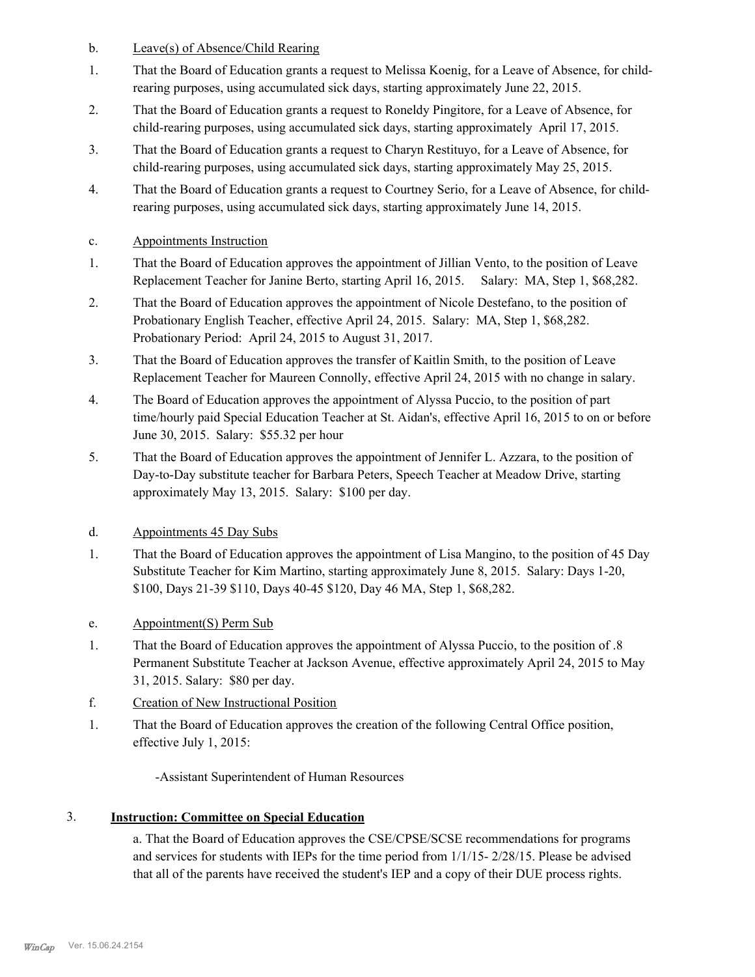- b. Leave(s) of Absence/Child Rearing
- That the Board of Education grants a request to Melissa Koenig, for a Leave of Absence, for childrearing purposes, using accumulated sick days, starting approximately June 22, 2015. 1.
- That the Board of Education grants a request to Roneldy Pingitore, for a Leave of Absence, for child-rearing purposes, using accumulated sick days, starting approximately April 17, 2015. 2.
- That the Board of Education grants a request to Charyn Restituyo, for a Leave of Absence, for child-rearing purposes, using accumulated sick days, starting approximately May 25, 2015. 3.
- That the Board of Education grants a request to Courtney Serio, for a Leave of Absence, for childrearing purposes, using accumulated sick days, starting approximately June 14, 2015. 4.
- c. Appointments Instruction
- That the Board of Education approves the appointment of Jillian Vento, to the position of Leave Replacement Teacher for Janine Berto, starting April 16, 2015. Salary: MA, Step 1, \$68,282. 1.
- That the Board of Education approves the appointment of Nicole Destefano, to the position of Probationary English Teacher, effective April 24, 2015. Salary: MA, Step 1, \$68,282. Probationary Period: April 24, 2015 to August 31, 2017. 2.
- That the Board of Education approves the transfer of Kaitlin Smith, to the position of Leave Replacement Teacher for Maureen Connolly, effective April 24, 2015 with no change in salary. 3.
- The Board of Education approves the appointment of Alyssa Puccio, to the position of part time/hourly paid Special Education Teacher at St. Aidan's, effective April 16, 2015 to on or before June 30, 2015. Salary: \$55.32 per hour 4.
- That the Board of Education approves the appointment of Jennifer L. Azzara, to the position of Day-to-Day substitute teacher for Barbara Peters, Speech Teacher at Meadow Drive, starting approximately May 13, 2015. Salary: \$100 per day. 5.
- d. Appointments 45 Day Subs
- That the Board of Education approves the appointment of Lisa Mangino, to the position of 45 Day Substitute Teacher for Kim Martino, starting approximately June 8, 2015. Salary: Days 1-20, \$100, Days 21-39 \$110, Days 40-45 \$120, Day 46 MA, Step 1, \$68,282. 1.
- e. Appointment(S) Perm Sub
- That the Board of Education approves the appointment of Alyssa Puccio, to the position of .8 Permanent Substitute Teacher at Jackson Avenue, effective approximately April 24, 2015 to May 31, 2015. Salary: \$80 per day. 1.
- f. Creation of New Instructional Position
- That the Board of Education approves the creation of the following Central Office position, effective July 1, 2015: 1.

-Assistant Superintendent of Human Resources

## 3. **Instruction: Committee on Special Education**

a. That the Board of Education approves the CSE/CPSE/SCSE recommendations for programs and services for students with IEPs for the time period from 1/1/15- 2/28/15. Please be advised that all of the parents have received the student's IEP and a copy of their DUE process rights.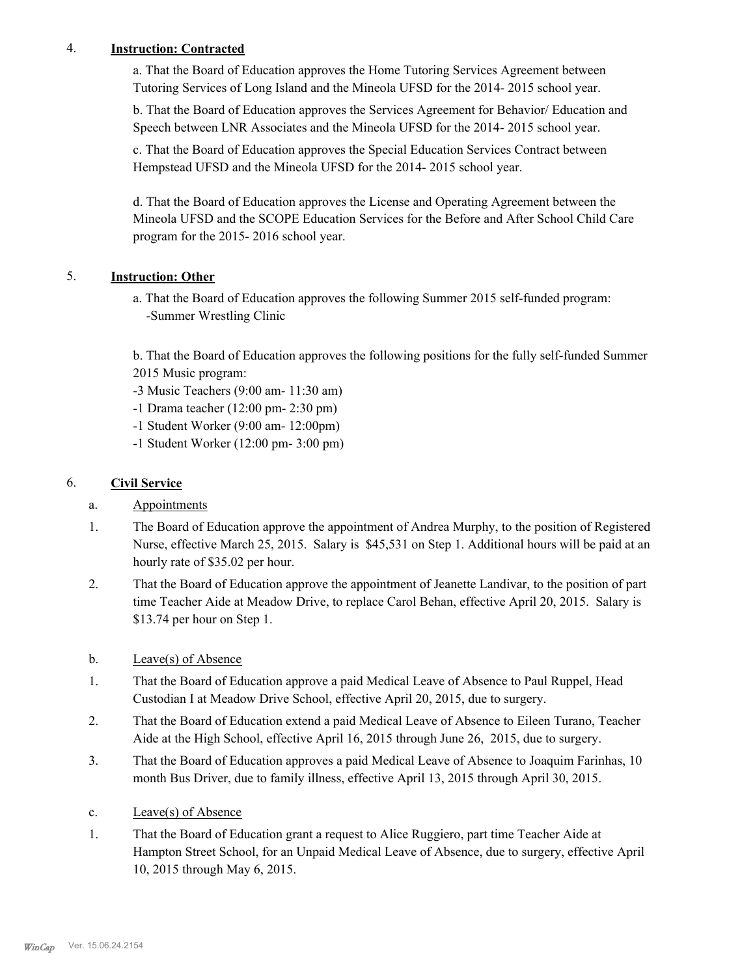## 4. **Instruction: Contracted**

a. That the Board of Education approves the Home Tutoring Services Agreement between Tutoring Services of Long Island and the Mineola UFSD for the 2014- 2015 school year.

b. That the Board of Education approves the Services Agreement for Behavior/ Education and Speech between LNR Associates and the Mineola UFSD for the 2014- 2015 school year.

c. That the Board of Education approves the Special Education Services Contract between Hempstead UFSD and the Mineola UFSD for the 2014- 2015 school year.

d. That the Board of Education approves the License and Operating Agreement between the Mineola UFSD and the SCOPE Education Services for the Before and After School Child Care program for the 2015- 2016 school year.

## 5. **Instruction: Other**

a. That the Board of Education approves the following Summer 2015 self-funded program: -Summer Wrestling Clinic

b. That the Board of Education approves the following positions for the fully self-funded Summer 2015 Music program:

- -3 Music Teachers (9:00 am- 11:30 am)
- -1 Drama teacher (12:00 pm- 2:30 pm)
- -1 Student Worker (9:00 am- 12:00pm)
- -1 Student Worker (12:00 pm- 3:00 pm)

## 6. **Civil Service**

- a. Appointments
- The Board of Education approve the appointment of Andrea Murphy, to the position of Registered Nurse, effective March 25, 2015. Salary is \$45,531 on Step 1. Additional hours will be paid at an hourly rate of \$35.02 per hour. 1.
- That the Board of Education approve the appointment of Jeanette Landivar, to the position of part time Teacher Aide at Meadow Drive, to replace Carol Behan, effective April 20, 2015. Salary is \$13.74 per hour on Step 1. 2.
- b. Leave(s) of Absence
- That the Board of Education approve a paid Medical Leave of Absence to Paul Ruppel, Head Custodian I at Meadow Drive School, effective April 20, 2015, due to surgery. 1.
- That the Board of Education extend a paid Medical Leave of Absence to Eileen Turano, Teacher Aide at the High School, effective April 16, 2015 through June 26, 2015, due to surgery. 2.
- That the Board of Education approves a paid Medical Leave of Absence to Joaquim Farinhas, 10 month Bus Driver, due to family illness, effective April 13, 2015 through April 30, 2015. 3.
- c. Leave(s) of Absence
- That the Board of Education grant a request to Alice Ruggiero, part time Teacher Aide at Hampton Street School, for an Unpaid Medical Leave of Absence, due to surgery, effective April 10, 2015 through May 6, 2015. 1.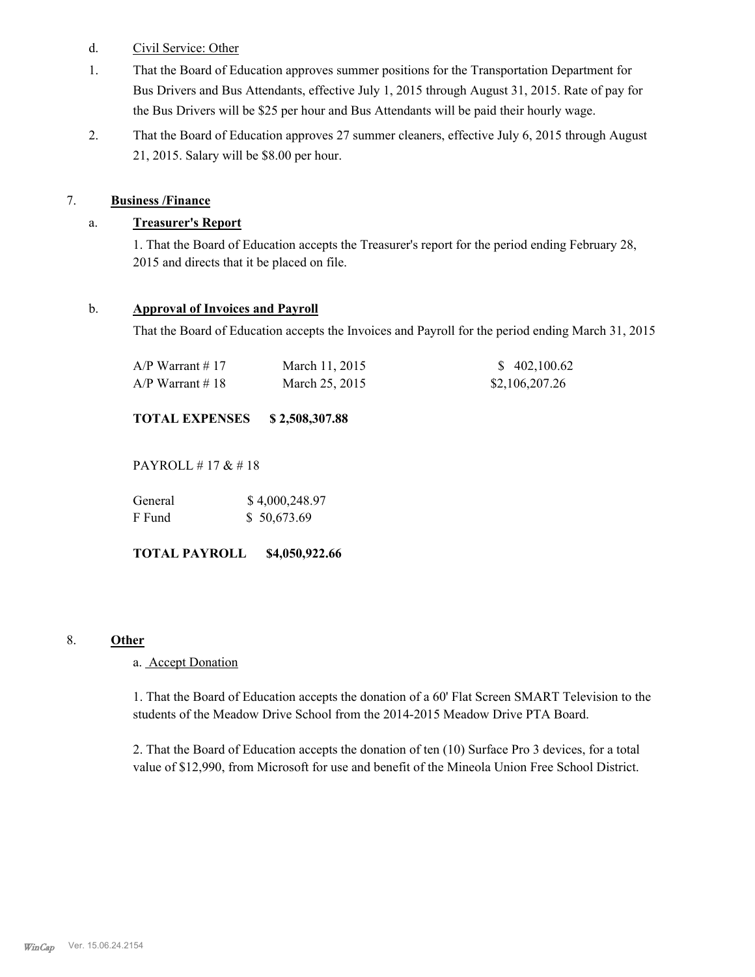## d. Civil Service: Other

- That the Board of Education approves summer positions for the Transportation Department for Bus Drivers and Bus Attendants, effective July 1, 2015 through August 31, 2015. Rate of pay for the Bus Drivers will be \$25 per hour and Bus Attendants will be paid their hourly wage. 1.
- That the Board of Education approves 27 summer cleaners, effective July 6, 2015 through August 21, 2015. Salary will be \$8.00 per hour. 2.

## 7. **Business /Finance**

## a. **Treasurer's Report**

1. That the Board of Education accepts the Treasurer's report for the period ending February 28, 2015 and directs that it be placed on file.

## b. **Approval of Invoices and Payroll**

That the Board of Education accepts the Invoices and Payroll for the period ending March 31, 2015

| A/P Warrant # 17 | March 11, 2015 | \$402,100.62   |
|------------------|----------------|----------------|
| A/P Warrant # 18 | March 25, 2015 | \$2,106,207.26 |

## **TOTAL EXPENSES \$ 2,508,307.88**

PAYROLL # 17 & # 18

| General | \$4,000,248.97 |
|---------|----------------|
| F Fund  | \$50,673.69    |

**TOTAL PAYROLL \$4,050,922.66**

## 8. **Other**

a. Accept Donation

1. That the Board of Education accepts the donation of a 60' Flat Screen SMART Television to the students of the Meadow Drive School from the 2014-2015 Meadow Drive PTA Board.

2. That the Board of Education accepts the donation of ten (10) Surface Pro 3 devices, for a total value of \$12,990, from Microsoft for use and benefit of the Mineola Union Free School District.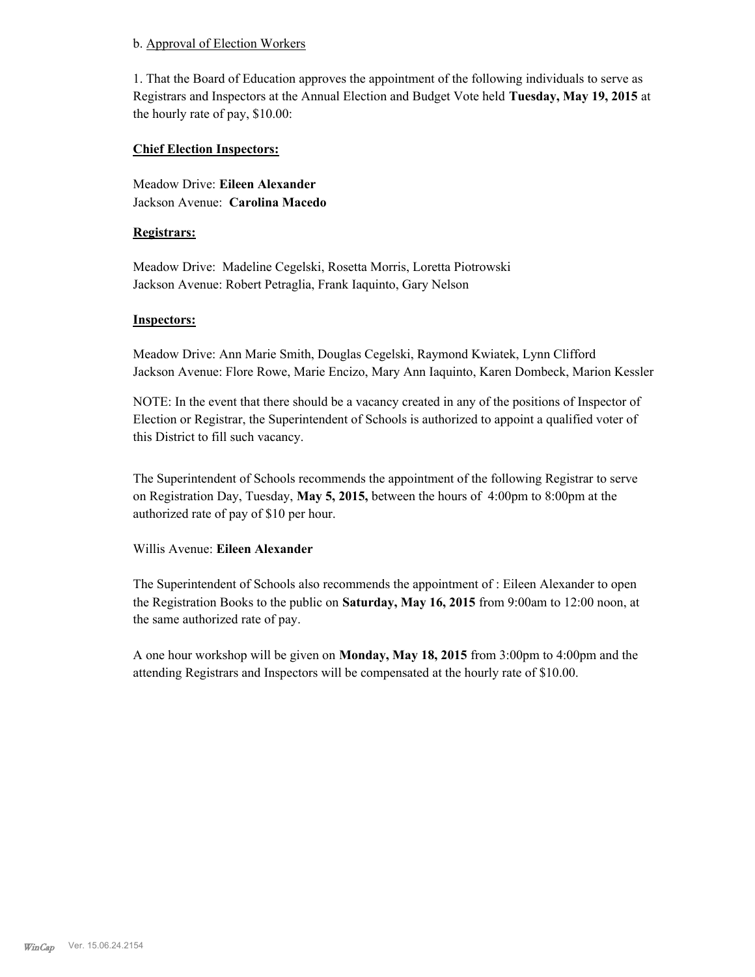### b. Approval of Election Workers

1. That the Board of Education approves the appointment of the following individuals to serve as Registrars and Inspectors at the Annual Election and Budget Vote held **Tuesday, May 19, 2015** at the hourly rate of pay, \$10.00:

## **Chief Election Inspectors:**

Meadow Drive: **Eileen Alexander**  Jackson Avenue: **Carolina Macedo**

### **Registrars:**

Meadow Drive: Madeline Cegelski, Rosetta Morris, Loretta Piotrowski Jackson Avenue: Robert Petraglia, Frank Iaquinto, Gary Nelson

### **Inspectors:**

Meadow Drive: Ann Marie Smith, Douglas Cegelski, Raymond Kwiatek, Lynn Clifford Jackson Avenue: Flore Rowe, Marie Encizo, Mary Ann Iaquinto, Karen Dombeck, Marion Kessler

NOTE: In the event that there should be a vacancy created in any of the positions of Inspector of Election or Registrar, the Superintendent of Schools is authorized to appoint a qualified voter of this District to fill such vacancy.

The Superintendent of Schools recommends the appointment of the following Registrar to serve on Registration Day, Tuesday, **May 5, 2015,** between the hours of 4:00pm to 8:00pm at the authorized rate of pay of \$10 per hour.

## Willis Avenue: **Eileen Alexander**

The Superintendent of Schools also recommends the appointment of : Eileen Alexander to open the Registration Books to the public on **Saturday, May 16, 2015** from 9:00am to 12:00 noon, at the same authorized rate of pay.

A one hour workshop will be given on **Monday, May 18, 2015** from 3:00pm to 4:00pm and the attending Registrars and Inspectors will be compensated at the hourly rate of \$10.00.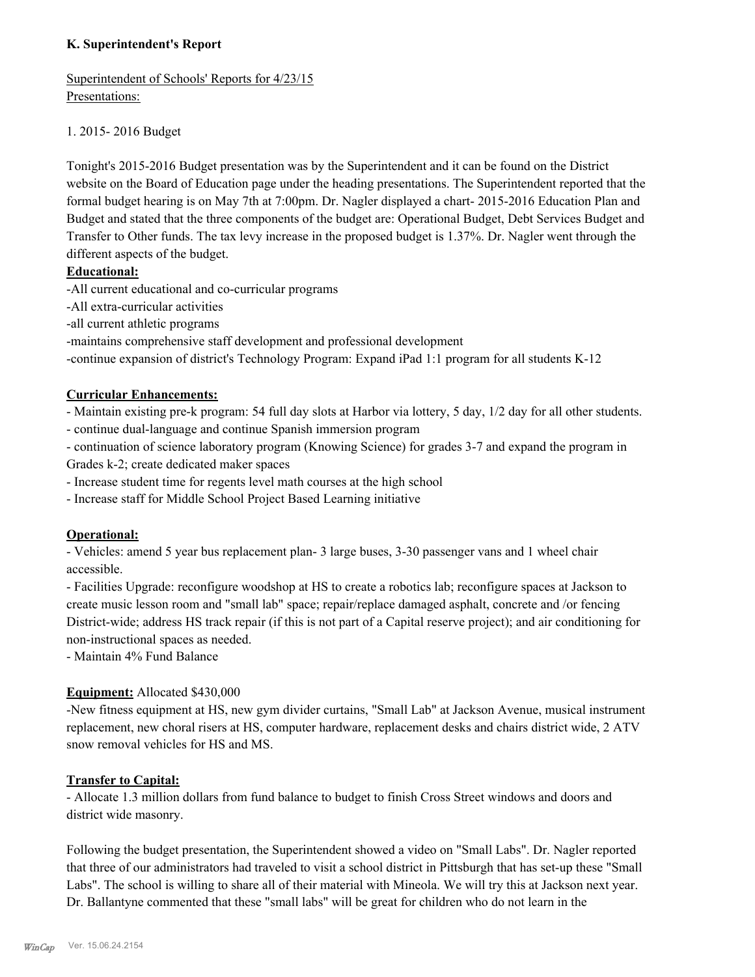## **K. Superintendent's Report**

Superintendent of Schools' Reports for 4/23/15 Presentations:

## 1. 2015- 2016 Budget

Tonight's 2015-2016 Budget presentation was by the Superintendent and it can be found on the District website on the Board of Education page under the heading presentations. The Superintendent reported that the formal budget hearing is on May 7th at 7:00pm. Dr. Nagler displayed a chart- 2015-2016 Education Plan and Budget and stated that the three components of the budget are: Operational Budget, Debt Services Budget and Transfer to Other funds. The tax levy increase in the proposed budget is 1.37%. Dr. Nagler went through the different aspects of the budget.

## **Educational:**

-All current educational and co-curricular programs

-All extra-curricular activities

-all current athletic programs

-maintains comprehensive staff development and professional development

-continue expansion of district's Technology Program: Expand iPad 1:1 program for all students K-12

## **Curricular Enhancements:**

- Maintain existing pre-k program: 54 full day slots at Harbor via lottery, 5 day, 1/2 day for all other students.

- continue dual-language and continue Spanish immersion program

- continuation of science laboratory program (Knowing Science) for grades 3-7 and expand the program in Grades k-2; create dedicated maker spaces

- Increase student time for regents level math courses at the high school

- Increase staff for Middle School Project Based Learning initiative

## **Operational:**

- Vehicles: amend 5 year bus replacement plan- 3 large buses, 3-30 passenger vans and 1 wheel chair accessible.

- Facilities Upgrade: reconfigure woodshop at HS to create a robotics lab; reconfigure spaces at Jackson to create music lesson room and "small lab" space; repair/replace damaged asphalt, concrete and /or fencing District-wide; address HS track repair (if this is not part of a Capital reserve project); and air conditioning for non-instructional spaces as needed.

- Maintain 4% Fund Balance

## **Equipment:** Allocated \$430,000

-New fitness equipment at HS, new gym divider curtains, "Small Lab" at Jackson Avenue, musical instrument replacement, new choral risers at HS, computer hardware, replacement desks and chairs district wide, 2 ATV snow removal vehicles for HS and MS.

## **Transfer to Capital:**

- Allocate 1.3 million dollars from fund balance to budget to finish Cross Street windows and doors and district wide masonry.

Following the budget presentation, the Superintendent showed a video on "Small Labs". Dr. Nagler reported that three of our administrators had traveled to visit a school district in Pittsburgh that has set-up these "Small Labs". The school is willing to share all of their material with Mineola. We will try this at Jackson next year. Dr. Ballantyne commented that these "small labs" will be great for children who do not learn in the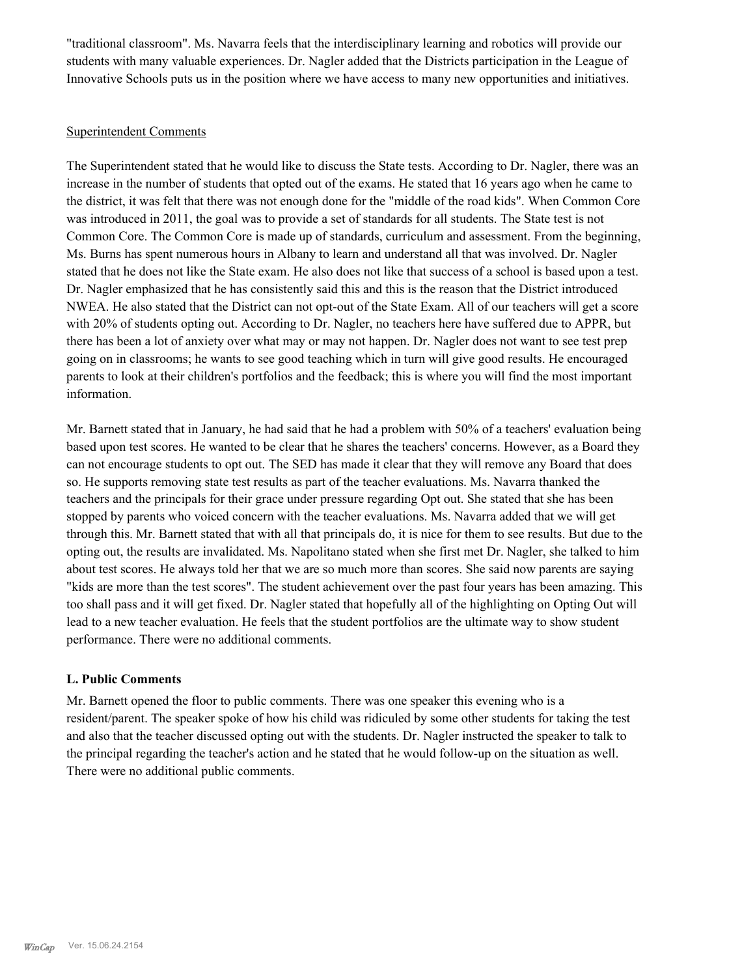"traditional classroom". Ms. Navarra feels that the interdisciplinary learning and robotics will provide our students with many valuable experiences. Dr. Nagler added that the Districts participation in the League of Innovative Schools puts us in the position where we have access to many new opportunities and initiatives.

## Superintendent Comments

The Superintendent stated that he would like to discuss the State tests. According to Dr. Nagler, there was an increase in the number of students that opted out of the exams. He stated that 16 years ago when he came to the district, it was felt that there was not enough done for the "middle of the road kids". When Common Core was introduced in 2011, the goal was to provide a set of standards for all students. The State test is not Common Core. The Common Core is made up of standards, curriculum and assessment. From the beginning, Ms. Burns has spent numerous hours in Albany to learn and understand all that was involved. Dr. Nagler stated that he does not like the State exam. He also does not like that success of a school is based upon a test. Dr. Nagler emphasized that he has consistently said this and this is the reason that the District introduced NWEA. He also stated that the District can not opt-out of the State Exam. All of our teachers will get a score with 20% of students opting out. According to Dr. Nagler, no teachers here have suffered due to APPR, but there has been a lot of anxiety over what may or may not happen. Dr. Nagler does not want to see test prep going on in classrooms; he wants to see good teaching which in turn will give good results. He encouraged parents to look at their children's portfolios and the feedback; this is where you will find the most important information.

Mr. Barnett stated that in January, he had said that he had a problem with 50% of a teachers' evaluation being based upon test scores. He wanted to be clear that he shares the teachers' concerns. However, as a Board they can not encourage students to opt out. The SED has made it clear that they will remove any Board that does so. He supports removing state test results as part of the teacher evaluations. Ms. Navarra thanked the teachers and the principals for their grace under pressure regarding Opt out. She stated that she has been stopped by parents who voiced concern with the teacher evaluations. Ms. Navarra added that we will get through this. Mr. Barnett stated that with all that principals do, it is nice for them to see results. But due to the opting out, the results are invalidated. Ms. Napolitano stated when she first met Dr. Nagler, she talked to him about test scores. He always told her that we are so much more than scores. She said now parents are saying "kids are more than the test scores". The student achievement over the past four years has been amazing. This too shall pass and it will get fixed. Dr. Nagler stated that hopefully all of the highlighting on Opting Out will lead to a new teacher evaluation. He feels that the student portfolios are the ultimate way to show student performance. There were no additional comments.

#### **L. Public Comments**

Mr. Barnett opened the floor to public comments. There was one speaker this evening who is a resident/parent. The speaker spoke of how his child was ridiculed by some other students for taking the test and also that the teacher discussed opting out with the students. Dr. Nagler instructed the speaker to talk to the principal regarding the teacher's action and he stated that he would follow-up on the situation as well. There were no additional public comments.